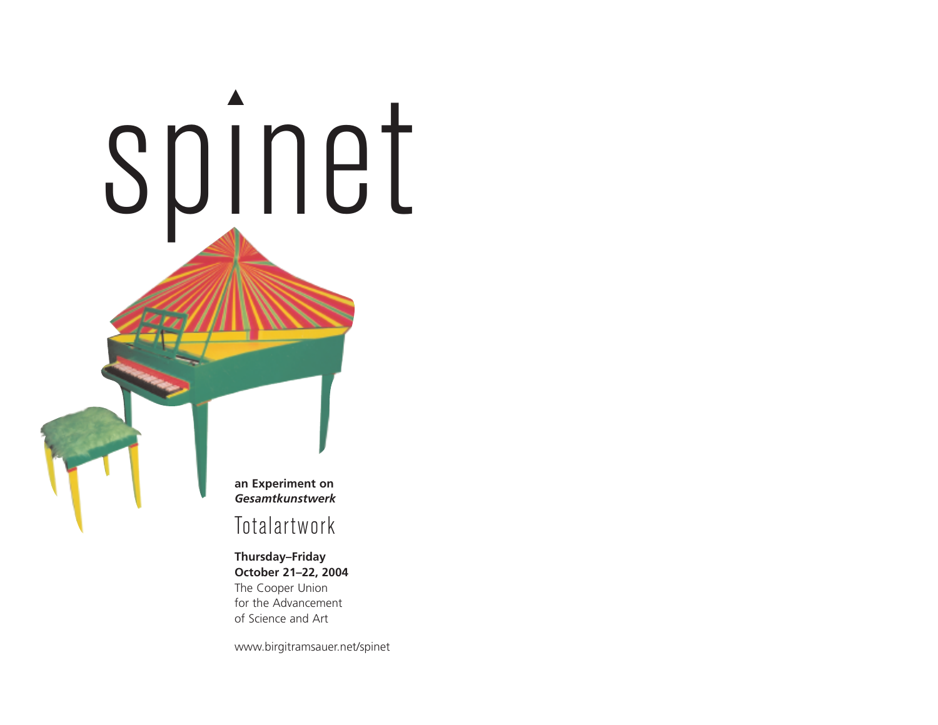

# Totalartwork

**Thursday–Friday October 21–22, 2004** The Cooper Union for the Advancement of Science and Art

www.birgitramsauer.net/spinet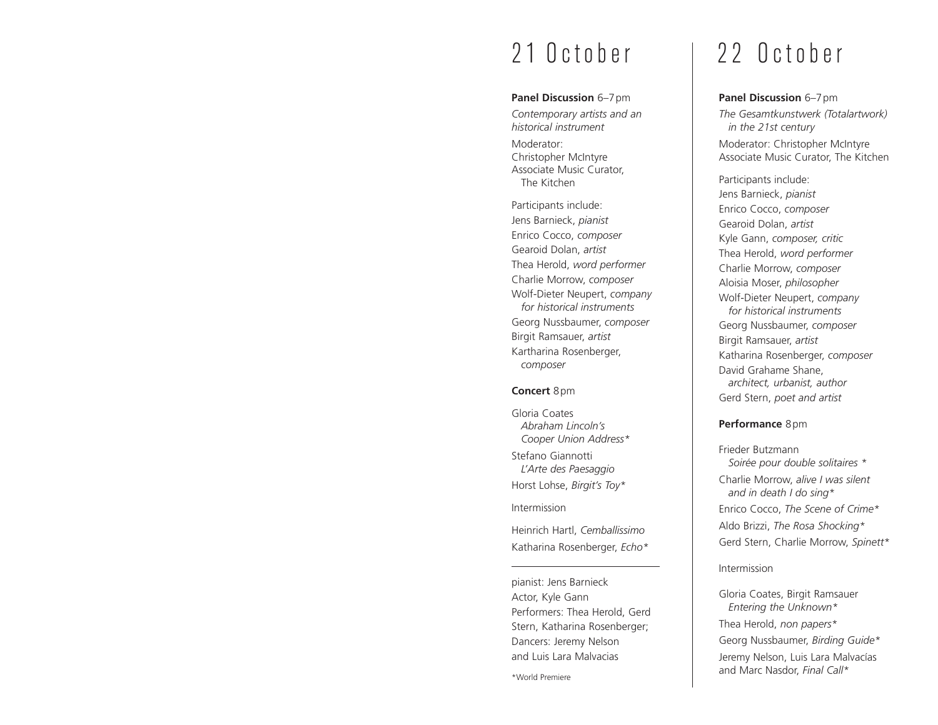### **Panel Discussion** 6-7pm

*Contemporary artists and an historical instrument* Moderator: Christopher McIntyre Associate Music Curator, The Kitchen

Participants include: Jens Barnieck, *pianist* Enrico Cocco, *composer* Gearoid Dolan, *artist* Thea Herold, *word performer* Charlie Morrow, *composer* Wolf-Dieter Neupert, *company for historical instruments* Georg Nussbaumer, *composer* Birgit Ramsauer, *artist* Kartharina Rosenberger, *composer*

### **Concert** 8pm

Gloria Coates *Abraham Lincoln's Cooper Union Address\** Stefano Giannotti *L'Arte des Paesaggio* Horst Lohse, *Birgit's Toy\** Intermission

Heinrich Hartl, *Cemballissimo* Katharina Rosenberger, *Echo\**

pianist: Jens Barnieck Actor, Kyle Gann Performers: Thea Herold, Gerd Stern, Katharina Rosenberger; Dancers: Jeremy Nelson and Luis Lara Malvacias

# 21 October | 22 October

### **Panel Discussion** 6–7pm

*The Gesamtkunstwerk (Totalartwork) in the 21st century* Moderator: Christopher McIntyre Associate Music Curator, The Kitchen

Participants include: Jens Barnieck, *pianist* Enrico Cocco, *composer* Gearoid Dolan, *artist* Kyle Gann, *composer, critic* Thea Herold, *word performer* Charlie Morrow, *composer* Aloisia Moser, *philosopher* Wolf-Dieter Neupert, *company for historical instruments* Georg Nussbaumer, *composer* Birgit Ramsauer, *artist* Katharina Rosenberger, *composer* David Grahame Shane, *architect, urbanist, author* Gerd Stern, *poet and artist*

### **Performance** 8pm

Frieder Butzmann *Soirée pour double solitaires \** Charlie Morrow, *alive I was silent and in death I do sing\** Enrico Cocco, *The Scene of Crime\** Aldo Brizzi, *The Rosa Shocking\** Gerd Stern, Charlie Morrow, *Spinett\**

Intermission

Gloria Coates, Birgit Ramsauer *Entering the Unknown\** Thea Herold, *non papers\** Georg Nussbaumer, *Birding Guide\** Jeremy Nelson, Luis Lara Malvacías and Marc Nasdor, *Final Call\**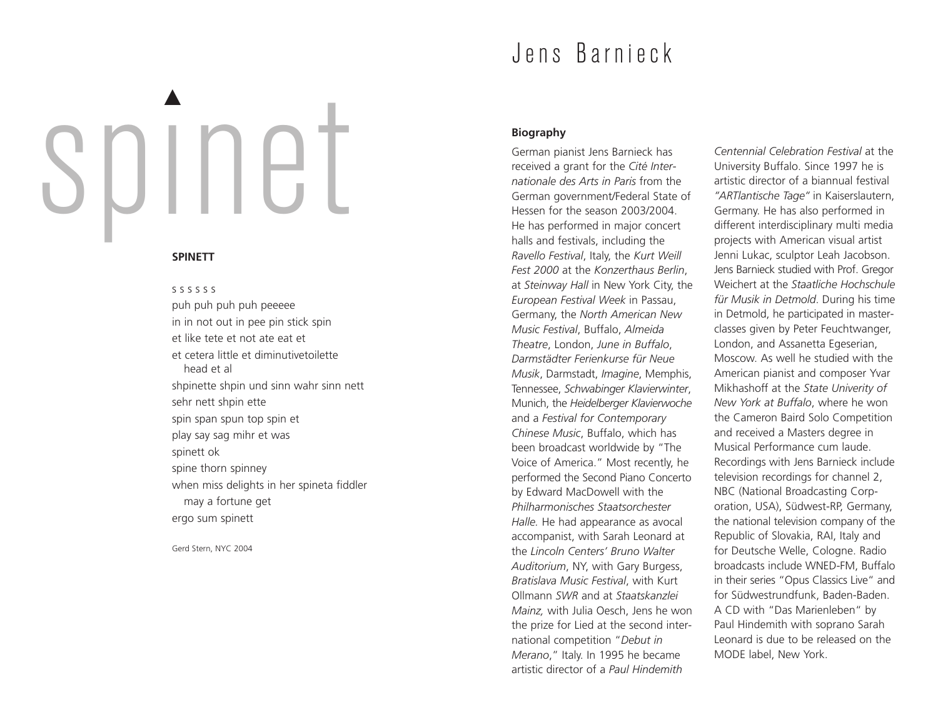# spınet ▲

# **SPINETT**

s s s s s s puh puh puh puh peeeee in in not out in pee pin stick spin et like tete et not ate eat et et cetera little et diminutivetoilette head et al shpinette shpin und sinn wahr sinn nett sehr nett shpin ette spin span spun top spin et play say sag mihr et was spinett ok spine thorn spinney when miss delights in her spineta fiddler may a fortune get ergo sum spinett

Gerd Stern, NYC 2004

# Jens Barnieck

# **Biography**

German pianist Jens Barnieck has received a grant for the *Cité Internationale des Arts in Paris* from the German government/Federal State of Hessen for the season 2003/2004. He has performed in major concert halls and festivals, including the *Ravello Festival*, Italy, the *Kurt Weill Fest 2000* at the *Konzerthaus Berlin*, at *Steinway Hall* in New York City, the *European Festival Week* in Passau, Germany, the *North American New Music Festival*, Buffalo, *Almeida Theatre*, London, *June in Buffalo*, *Darmstädter Ferienkurse für Neue Musik*, Darmstadt, *Imagine*, Memphis, Tennessee, *Schwabinger Klavierwinter*, Munich, the *Heidelberger Klavierwoche* and a *Festival for Contemporary Chinese Music*, Buffalo, which has been broadcast worldwide by "The Voice of America." Most recently, he performed the Second Piano Concerto by Edward MacDowell with the *Philharmonisches Staatsorchester Halle.* He had appearance as avocal accompanist, with Sarah Leonard at the *Lincoln Centers' Bruno Walter Auditorium*, NY, with Gary Burgess, *Bratislava Music Festival*, with Kurt Ollmann *SWR* and at *Staatskanzlei Mainz,* with Julia Oesch, Jens he won the prize for Lied at the second international competition "*Debut in Merano*," Italy. In 1995 he became artistic director of a *Paul Hindemith*

*Centennial Celebration Festival* at the University Buffalo. Since 1997 he is artistic director of a biannual festival *"ARTlantische Tage"* in Kaiserslautern, Germany. He has also performed in different interdisciplinary multi media projects with American visual artist Jenni Lukac, sculptor Leah Jacobson. Jens Barnieck studied with Prof. Gregor Weichert at the *Staatliche Hochschule für Musik in Detmold*. During his time in Detmold, he participated in masterclasses given by Peter Feuchtwanger, London, and Assanetta Egeserian, Moscow. As well he studied with the American pianist and composer Yvar Mikhashoff at the *State Univerity of New York at Buffalo*, where he won the Cameron Baird Solo Competition and received a Masters degree in Musical Performance cum laude. Recordings with Jens Barnieck include television recordings for channel 2, NBC (National Broadcasting Corporation, USA), Südwest-RP, Germany, the national television company of the Republic of Slovakia, RAI, Italy and for Deutsche Welle, Cologne. Radio broadcasts include WNED-FM, Buffalo in their series "Opus Classics Live" and for Südwestrundfunk, Baden-Baden. A CD with "Das Marienleben" by Paul Hindemith with soprano Sarah Leonard is due to be released on the MODE label, New York.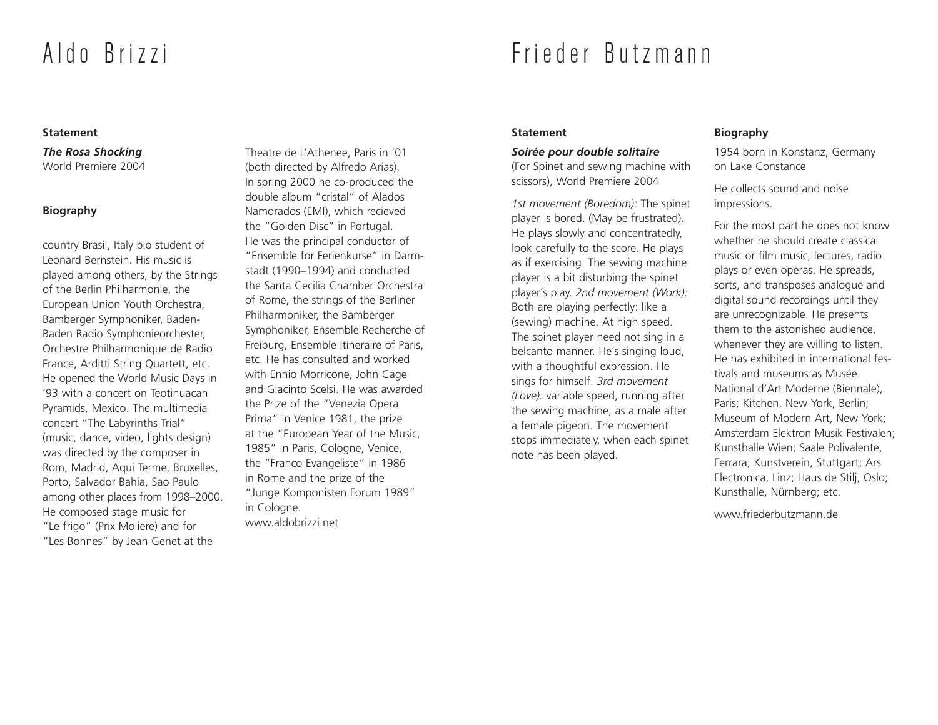# Aldo Brizzi

# Frieder Butzmann

### **Statement**

*The Rosa Shocking* World Premiere 2004

# **Biography**

country Brasil, Italy bio student of Leonard Bernstein. His music is played among others, by the Strings of the Berlin Philharmonie, the European Union Youth Orchestra, Bamberger Symphoniker, Baden-Baden Radio Symphonieorchester, Orchestre Philharmonique de Radio France, Arditti String Quartett, etc. He opened the World Music Days in '93 with a concert on Teotihuacan Pyramids, Mexico. The multimedia concert "The Labyrinths Trial" (music, dance, video, lights design) was directed by the composer in Rom, Madrid, Aqui Terme, Bruxelles, Porto, Salvador Bahia, Sao Paulo among other places from 1998–2000. He composed stage music for "Le frigo" (Prix Moliere) and for "Les Bonnes" by Jean Genet at the

Theatre de L'Athenee, Paris in '01 (both directed by Alfredo Arias). In spring 2000 he co-produced the double album "cristal" of Alados Namorados (EMI), which recieved the "Golden Disc" in Portugal. He was the principal conductor of "Ensemble for Ferienkurse" in Darmstadt (1990–1994) and conducted the Santa Cecilia Chamber Orchestra of Rome, the strings of the Berliner Philharmoniker, the Bamberger Symphoniker, Ensemble Recherche of Freiburg, Ensemble Itineraire of Paris, etc. He has consulted and worked with Ennio Morricone, John Cage and Giacinto Scelsi. He was awarded the Prize of the "Venezia Opera Prima" in Venice 1981, the prize at the "European Year of the Music, 1985" in Paris, Cologne, Venice, the "Franco Evangeliste" in 1986 in Rome and the prize of the "Junge Komponisten Forum 1989" in Cologne. www.aldobrizzi.net

### **Statement**

### *Soirée pour double solitaire*

(For Spinet and sewing machine with scissors), World Premiere 2004

*1st movement (Boredom):* The spinet player is bored. (May be frustrated). He plays slowly and concentratedly, look carefully to the score. He plays as if exercising. The sewing machine player is a bit disturbing the spinet player´s play. *2nd movement (Work):* Both are playing perfectly: like a (sewing) machine. At high speed. The spinet player need not sing in a belcanto manner. He´s singing loud, with a thoughtful expression. He sings for himself. *3rd movement (Love):* variable speed, running after the sewing machine, as a male after a female pigeon. The movement stops immediately, when each spinet note has been played.

### **Biography**

1954 born in Konstanz, Germany on Lake Constance

He collects sound and noise impressions.

For the most part he does not know whether he should create classical music or film music, lectures, radio plays or even operas. He spreads, sorts, and transposes analogue and digital sound recordings until they are unrecognizable. He presents them to the astonished audience, whenever they are willing to listen. He has exhibited in international festivals and museums as Musée National d'Art Moderne (Biennale), Paris; Kitchen, New York, Berlin; Museum of Modern Art, New York; Amsterdam Elektron Musik Festivalen; Kunsthalle Wien; Saale Polivalente, Ferrara; Kunstverein, Stuttgart; Ars Electronica, Linz; Haus de Stilj, Oslo; Kunsthalle, Nürnberg; etc.

www.friederbutzmann.de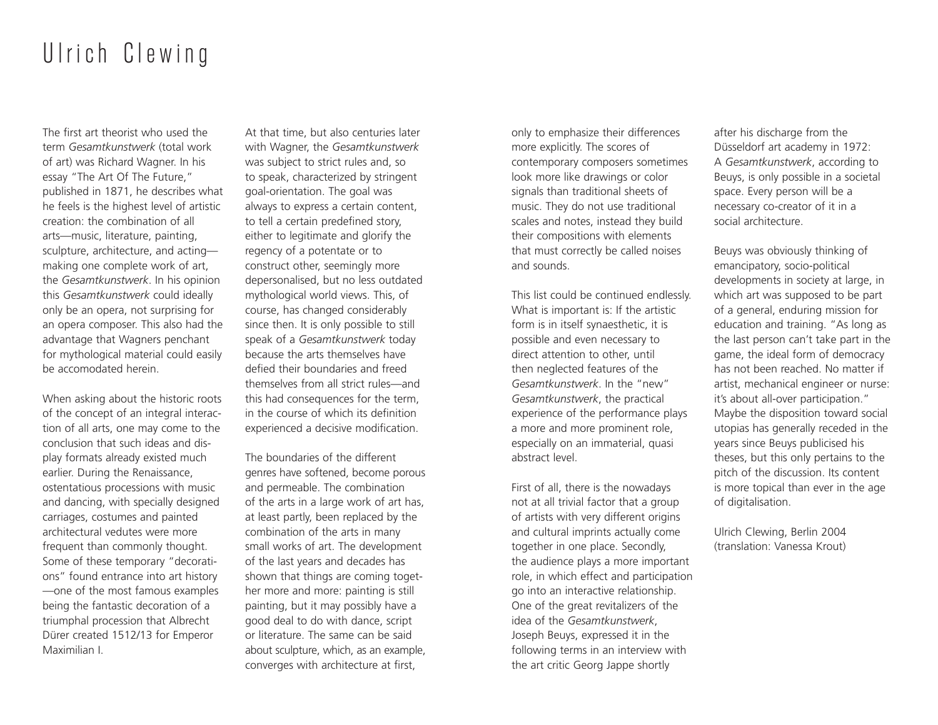# Ulrich Clewing

The first art theorist who used the term *Gesamtkunstwerk* (total work of art) was Richard Wagner. In his essay "The Art Of The Future," published in 1871, he describes what he feels is the highest level of artistic creation: the combination of all arts—music, literature, painting, sculpture, architecture, and acting making one complete work of art, the *Gesamtkunstwerk*. In his opinion this *Gesamtkunstwerk* could ideally only be an opera, not surprising for an opera composer. This also had the advantage that Wagners penchant for mythological material could easily be accomodated herein.

When asking about the historic roots of the concept of an integral interaction of all arts, one may come to the conclusion that such ideas and display formats already existed much earlier. During the Renaissance, ostentatious processions with music and dancing, with specially designed carriages, costumes and painted architectural vedutes were more frequent than commonly thought. Some of these temporary "decorations" found entrance into art history —one of the most famous examples being the fantastic decoration of a triumphal procession that Albrecht Dürer created 1512/13 for Emperor Maximilian I.

At that time, but also centuries later with Wagner, the *Gesamtkunstwerk* was subject to strict rules and, so to speak, characterized by stringent goal-orientation. The goal was always to express a certain content, to tell a certain predefined story, either to legitimate and glorify the regency of a potentate or to construct other, seemingly more depersonalised, but no less outdated mythological world views. This, of course, has changed considerably since then. It is only possible to still speak of a *Gesamtkunstwerk* today because the arts themselves have defied their boundaries and freed themselves from all strict rules—and this had consequences for the term, in the course of which its definition experienced a decisive modification.

The boundaries of the different genres have softened, become porous and permeable. The combination of the arts in a large work of art has, at least partly, been replaced by the combination of the arts in many small works of art. The development of the last years and decades has shown that things are coming together more and more: painting is still painting, but it may possibly have a good deal to do with dance, script or literature. The same can be said about sculpture, which, as an example, converges with architecture at first,

only to emphasize their differences more explicitly. The scores of contemporary composers sometimes look more like drawings or color signals than traditional sheets of music. They do not use traditional scales and notes, instead they build their compositions with elements that must correctly be called noises and sounds.

This list could be continued endlessly. What is important is: If the artistic form is in itself synaesthetic, it is possible and even necessary to direct attention to other, until then neglected features of the *Gesamtkunstwerk*. In the "new" *Gesamtkunstwerk*, the practical experience of the performance plays a more and more prominent role, especially on an immaterial, quasi abstract level.

First of all, there is the nowadays not at all trivial factor that a group of artists with very different origins and cultural imprints actually come together in one place. Secondly, the audience plays a more important role, in which effect and participation go into an interactive relationship. One of the great revitalizers of the idea of the *Gesamtkunstwerk*, Joseph Beuys, expressed it in the following terms in an interview with the art critic Georg Jappe shortly

after his discharge from the Düsseldorf art academy in 1972: A *Gesamtkunstwerk*, according to Beuys, is only possible in a societal space. Every person will be a necessary co-creator of it in a social architecture.

Beuys was obviously thinking of emancipatory, socio-political developments in society at large, in which art was supposed to be part of a general, enduring mission for education and training. "As long as the last person can't take part in the game, the ideal form of democracy has not been reached. No matter if artist, mechanical engineer or nurse: it's about all-over participation." Maybe the disposition toward social utopias has generally receded in the years since Beuys publicised his theses, but this only pertains to the pitch of the discussion. Its content is more topical than ever in the age of digitalisation.

Ulrich Clewing, Berlin 2004 (translation: Vanessa Krout)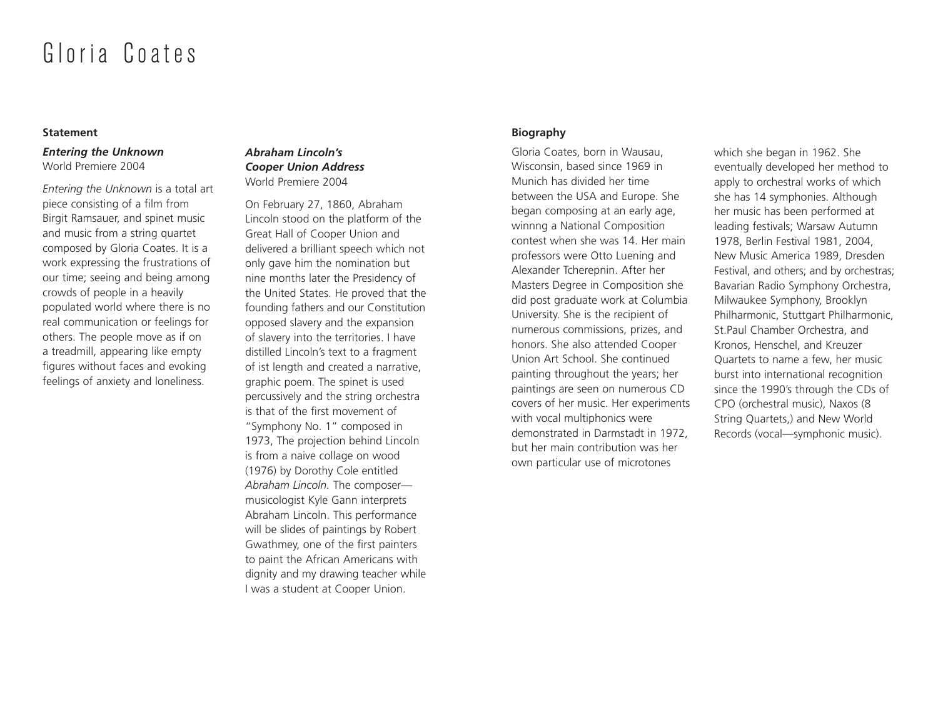# Gloria Coates

### **Statement**

# *Entering the Unknown* World Premiere 2004

*Entering the Unknown* is a total art piece consisting of a film from Birgit Ramsauer, and spinet music and music from a string quartet composed by Gloria Coates. It is a work expressing the frustrations of our time; seeing and being among crowds of people in a heavily populated world where there is no real communication or feelings for others. The people move as if on a treadmill, appearing like empty figures without faces and evoking feelings of anxiety and loneliness.

# *Abraham Lincoln's Cooper Union Address* World Premiere 2004

On February 27, 1860, Abraham Lincoln stood on the platform of the Great Hall of Cooper Union and delivered a brilliant speech which not only gave him the nomination but nine months later the Presidency of the United States. He proved that the founding fathers and our Constitution opposed slavery and the expansion of slavery into the territories. I have distilled Lincoln's text to a fragment of ist length and created a narrative, graphic poem. The spinet is used percussively and the string orchestra is that of the first movement of "Symphony No. 1" composed in 1973, The projection behind Lincoln is from a naive collage on wood (1976) by Dorothy Cole entitled *Abraham Lincoln.* The composer musicologist Kyle Gann interprets Abraham Lincoln. This performance will be slides of paintings by Robert Gwathmey, one of the first painters to paint the African Americans with dignity and my drawing teacher while I was a student at Cooper Union.

# **Biography**

Gloria Coates, born in Wausau, Wisconsin, based since 1969 in Munich has divided her time between the USA and Europe. She began composing at an early age, winnng a National Composition contest when she was 14. Her main professors were Otto Luening and Alexander Tcherepnin. After her Masters Degree in Composition she did post graduate work at Columbia University. She is the recipient of numerous commissions, prizes, and honors. She also attended Cooper Union Art School. She continued painting throughout the years; her paintings are seen on numerous CD covers of her music. Her experiments with vocal multiphonics were demonstrated in Darmstadt in 1972, but her main contribution was her own particular use of microtones

which she began in 1962. She eventually developed her method to apply to orchestral works of which she has 14 symphonies. Although her music has been performed at leading festivals; Warsaw Autumn 1978, Berlin Festival 1981, 2004, New Music America 1989, Dresden Festival, and others; and by orchestras; Bavarian Radio Symphony Orchestra, Milwaukee Symphony, Brooklyn Philharmonic, Stuttgart Philharmonic, St.Paul Chamber Orchestra, and Kronos, Henschel, and Kreuzer Quartets to name a few, her music burst into international recognition since the 1990's through the CDs of CPO (orchestral music), Naxos (8 String Quartets,) and New World Records (vocal—symphonic music).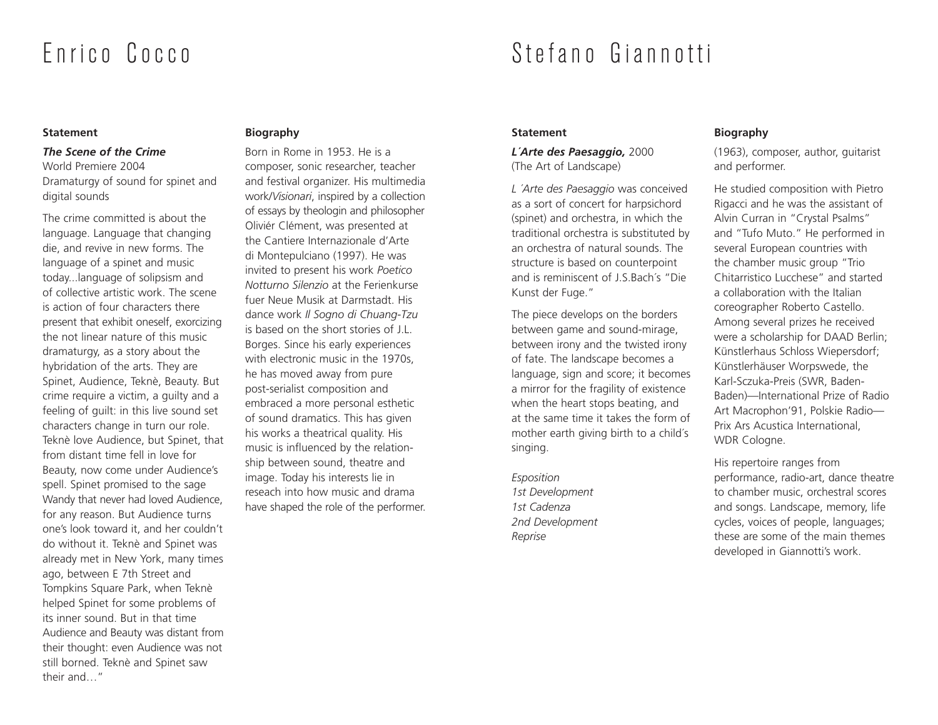# Enrico Cocco

### **Statement**

### *The Scene of the Crime*

World Premiere 2004 Dramaturgy of sound for spinet and digital sounds

The crime committed is about the language. Language that changing die, and revive in new forms. The language of a spinet and music today...language of solipsism and of collective artistic work. The scene is action of four characters there present that exhibit oneself, exorcizing the not linear nature of this music dramaturgy, as a story about the hybridation of the arts. They are Spinet, Audience, Teknè, Beauty. But crime require a victim, a guilty and a feeling of guilt: in this live sound set characters change in turn our role. Teknè love Audience, but Spinet, that from distant time fell in love for Beauty, now come under Audience's spell. Spinet promised to the sage Wandy that never had loved Audience, for any reason. But Audience turns one's look toward it, and her couldn't do without it. Teknè and Spinet was already met in New York, many times ago, between E 7th Street and Tompkins Square Park, when Teknè helped Spinet for some problems of its inner sound. But in that time Audience and Beauty was distant from their thought: even Audience was not still borned. Teknè and Spinet saw their and…"

# **Biography**

Born in Rome in 1953. He is a composer, sonic researcher, teacher and festival organizer. His multimedia work/*Visionari*, inspired by a collection of essays by theologin and philosopher Oliviér Clément, was presented at the Cantiere Internazionale d'Arte di Montepulciano (1997). He was invited to present his work *Poetico Notturno Silenzio* at the Ferienkurse fuer Neue Musik at Darmstadt. His dance work *Il Sogno di Chuang-Tzu* is based on the short stories of J.L. Borges. Since his early experiences with electronic music in the 1970s, he has moved away from pure post-serialist composition and embraced a more personal esthetic of sound dramatics. This has given his works a theatrical quality. His music is influenced by the relationship between sound, theatre and image. Today his interests lie in reseach into how music and drama have shaped the role of the performer.

# Stefano Giannotti

### **Statement**

*L´Arte des Paesaggio,* 2000 (The Art of Landscape)

*L ´Arte des Paesaggio* was conceived as a sort of concert for harpsichord (spinet) and orchestra, in which the traditional orchestra is substituted by an orchestra of natural sounds. The structure is based on counterpoint and is reminiscent of J.S.Bach´s "Die Kunst der Fuge."

The piece develops on the borders between game and sound-mirage, between irony and the twisted irony of fate. The landscape becomes a language, sign and score; it becomes a mirror for the fragility of existence when the heart stops beating, and at the same time it takes the form of mother earth giving birth to a child´s singing.

*Esposition 1st Development 1st Cadenza 2nd Development Reprise*

# **Biography**

(1963), composer, author, guitarist and performer.

He studied composition with Pietro Rigacci and he was the assistant of Alvin Curran in "Crystal Psalms" and "Tufo Muto." He performed in several European countries with the chamber music group "Trio Chitarristico Lucchese" and started a collaboration with the Italian coreographer Roberto Castello. Among several prizes he received were a scholarship for DAAD Berlin; Künstlerhaus Schloss Wiepersdorf; Künstlerhäuser Worpswede, the Karl-Sczuka-Preis (SWR, Baden-Baden)—International Prize of Radio Art Macrophon'91, Polskie Radio— Prix Ars Acustica International, WDR Cologne.

His repertoire ranges from performance, radio-art, dance theatre to chamber music, orchestral scores and songs. Landscape, memory, life cycles, voices of people, languages; these are some of the main themes developed in Giannotti's work.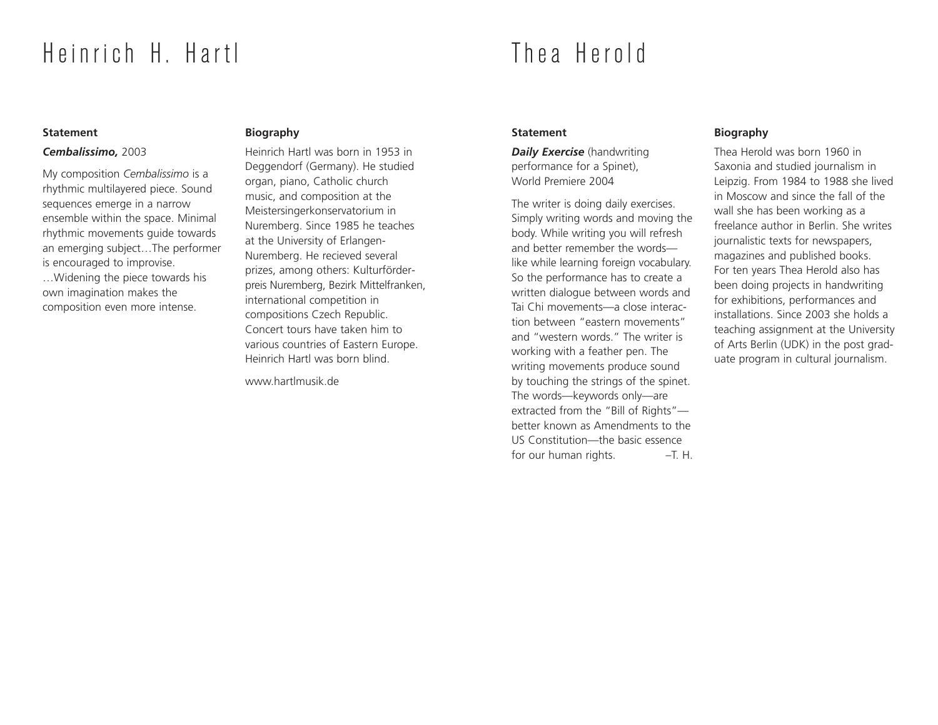# Heinrich H. Hartl

# Thea Herold

### **Statement**

### *Cembalissimo,* 2003

My composition *Cembalissimo* is a rhythmic multilayered piece. Sound sequences emerge in a narrow ensemble within the space. Minimal rhythmic movements guide towards an emerging subject…The performer is encouraged to improvise. …Widening the piece towards his own imagination makes the composition even more intense.

# **Biography**

Heinrich Hartl was born in 1953 in Deggendorf (Germany). He studied organ, piano, Catholic church music, and composition at the Meistersingerkonservatorium in Nuremberg. Since 1985 he teaches at the University of Erlangen-Nuremberg. He recieved several prizes, among others: Kulturförderpreis Nuremberg, Bezirk Mittelfranken, international competition in compositions Czech Republic. Concert tours have taken him to various countries of Eastern Europe. Heinrich Hartl was born blind.

www.hartlmusik.de

# **Statement**

*Daily Exercise* (handwriting performance for a Spinet), World Premiere 2004

The writer is doing daily exercises. Simply writing words and moving the body. While writing you will refresh and better remember the words like while learning foreign vocabulary. So the performance has to create a written dialogue between words and Tai Chi movements—a close interaction between "eastern movements" and "western words." The writer is working with a feather pen. The writing movements produce sound by touching the strings of the spinet. The words—keywords only—are extracted from the "Bill of Rights" better known as Amendments to the US Constitution—the basic essence for our human rights. - T. H.

# **Biography**

Thea Herold was born 1960 in Saxonia and studied journalism in Leipzig. From 1984 to 1988 she lived in Moscow and since the fall of the wall she has been working as a freelance author in Berlin. She writes journalistic texts for newspapers, magazines and published books. For ten years Thea Herold also has been doing projects in handwriting for exhibitions, performances and installations. Since 2003 she holds a teaching assignment at the University of Arts Berlin (UDK) in the post graduate program in cultural journalism.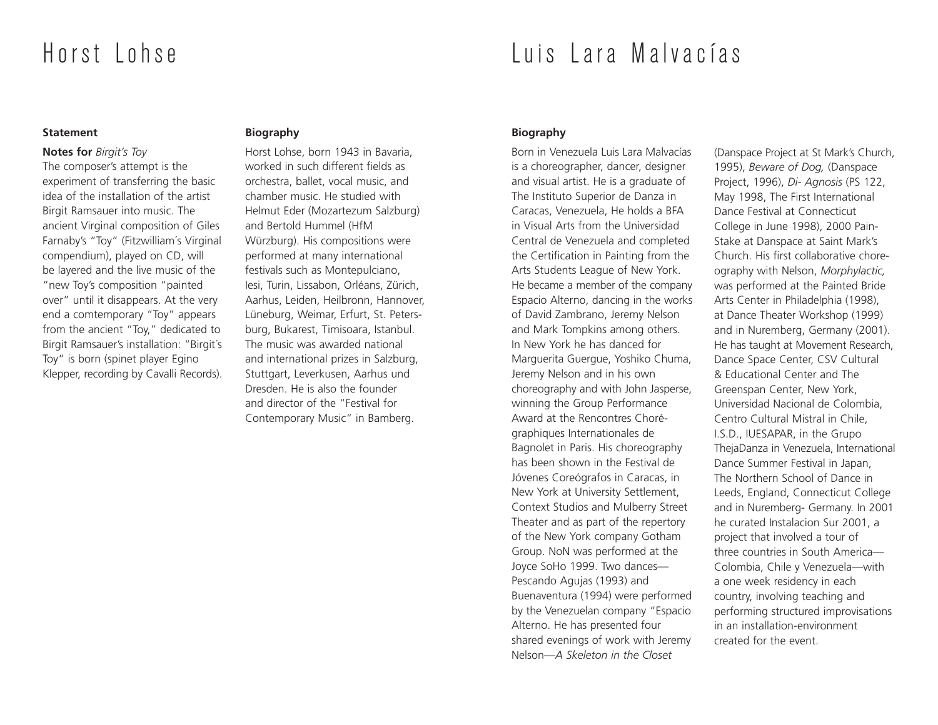# Horst Lohse

# Luis Lara Malvacías

### **Statement**

### **Notes for** *Birgit's Toy*

The composer's attempt is the experiment of transferring the basic idea of the installation of the artist Birgit Ramsauer into music. The ancient Virginal composition of Giles Farnaby's "Toy" (Fitzwilliam´s Virginal compendium), played on CD, will be layered and the live music of the "new Toy's composition "painted over" until it disappears. At the very end a comtemporary "Toy" appears from the ancient "Toy," dedicated to Birgit Ramsauer's installation: "Birgit´s Toy" is born (spinet player Egino Klepper, recording by Cavalli Records).

# **Biography**

Horst Lohse, born 1943 in Bavaria, worked in such different fields as orchestra, ballet, vocal music, and chamber music. He studied with Helmut Eder (Mozartezum Salzburg) and Bertold Hummel (HfM Würzburg). His compositions were performed at many international festivals such as Montepulciano, Iesi, Turin, Lissabon, Orléans, Zürich, Aarhus, Leiden, Heilbronn, Hannover, Lüneburg, Weimar, Erfurt, St. Petersburg, Bukarest, Timisoara, Istanbul. The music was awarded national and international prizes in Salzburg, Stuttgart, Leverkusen, Aarhus und Dresden. He is also the founder and director of the "Festival for Contemporary Music" in Bamberg.

# **Biography**

Born in Venezuela Luis Lara Malvacías is a choreographer, dancer, designer and visual artist. He is a graduate of The Instituto Superior de Danza in Caracas, Venezuela, He holds a BFA in Visual Arts from the Universidad Central de Venezuela and completed the Certification in Painting from the Arts Students League of New York. He became a member of the company Espacio Alterno, dancing in the works of David Zambrano, Jeremy Nelson and Mark Tompkins among others. In New York he has danced for Marguerita Guergue, Yoshiko Chuma, Jeremy Nelson and in his own choreography and with John Jasperse, winning the Group Performance Award at the Rencontres Chorégraphiques Internationales de Bagnolet in Paris. His choreography has been shown in the Festival de Jóvenes Coreógrafos in Caracas, in New York at University Settlement, Context Studios and Mulberry Street Theater and as part of the repertory of the New York company Gotham Group. NoN was performed at the Joyce SoHo 1999. Two dances— Pescando Agujas (1993) and Buenaventura (1994) were performed by the Venezuelan company "Espacio Alterno. He has presented four shared evenings of work with Jeremy Nelson—*A Skeleton in the Closet*

(Danspace Project at St Mark's Church, 1995), *Beware of Dog,* (Danspace Project, 1996), *Di- Agnosis* (PS 122, May 1998, The First International Dance Festival at Connecticut College in June 1998), 2000 Pain-Stake at Danspace at Saint Mark's Church. His first collaborative choreography with Nelson, *Morphylactic,* was performed at the Painted Bride Arts Center in Philadelphia (1998), at Dance Theater Workshop (1999) and in Nuremberg, Germany (2001). He has taught at Movement Research, Dance Space Center, CSV Cultural & Educational Center and The Greenspan Center, New York, Universidad Nacional de Colombia, Centro Cultural Mistral in Chile, I.S.D., IUESAPAR, in the Grupo ThejaDanza in Venezuela, International Dance Summer Festival in Japan, The Northern School of Dance in Leeds, England, Connecticut College and in Nuremberg- Germany. In 2001 he curated Instalacion Sur 2001, a project that involved a tour of three countries in South America— Colombia, Chile y Venezuela—with a one week residency in each country, involving teaching and performing structured improvisations in an installation-environment created for the event.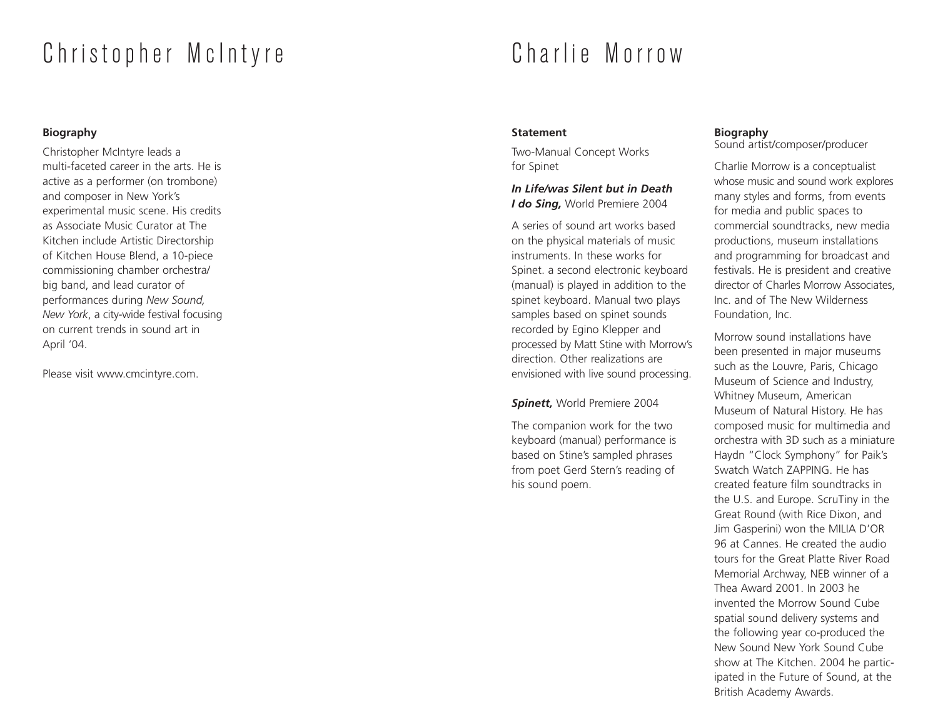# Christopher McIntyre

# **Biography**

Christopher McIntyre leads a multi-faceted career in the arts. He is active as a performer (on trombone) and composer in New York's experimental music scene. His credits as Associate Music Curator at The Kitchen include Artistic Directorship of Kitchen House Blend, a 10-piece commissioning chamber orchestra/ big band, and lead curator of performances during *New Sound, New York*, a city-wide festival focusing on current trends in sound art in April '04.

Please visit www.cmcintyre.com.

# Charlie Morrow

# **Statement**

Two-Manual Concept Works for Spinet

# *In Life/was Silent but in Death I do Sing,* World Premiere 2004

A series of sound art works based on the physical materials of music instruments. In these works for Spinet. a second electronic keyboard (manual) is played in addition to the spinet keyboard. Manual two plays samples based on spinet sounds recorded by Egino Klepper and processed by Matt Stine with Morrow's direction. Other realizations are envisioned with live sound processing.

# *Spinett,* World Premiere 2004

The companion work for the two keyboard (manual) performance is based on Stine's sampled phrases from poet Gerd Stern's reading of his sound poem.

### **Biography** Sound artist/composer/producer

Charlie Morrow is a conceptualist whose music and sound work explores many styles and forms, from events for media and public spaces to commercial soundtracks, new media productions, museum installations and programming for broadcast and festivals. He is president and creative director of Charles Morrow Associates, Inc. and of The New Wilderness Foundation, Inc.

Morrow sound installations have been presented in major museums such as the Louvre, Paris, Chicago Museum of Science and Industry, Whitney Museum, American Museum of Natural History. He has composed music for multimedia and orchestra with 3D such as a miniature Haydn "Clock Symphony" for Paik's Swatch Watch ZAPPING. He has created feature film soundtracks in the U.S. and Europe. ScruTiny in the Great Round (with Rice Dixon, and Jim Gasperini) won the MILIA D'OR 96 at Cannes. He created the audio tours for the Great Platte River Road Memorial Archway, NEB winner of a Thea Award 2001. In 2003 he invented the Morrow Sound Cube spatial sound delivery systems and the following year co-produced the New Sound New York Sound Cube show at The Kitchen. 2004 he participated in the Future of Sound, at the British Academy Awards.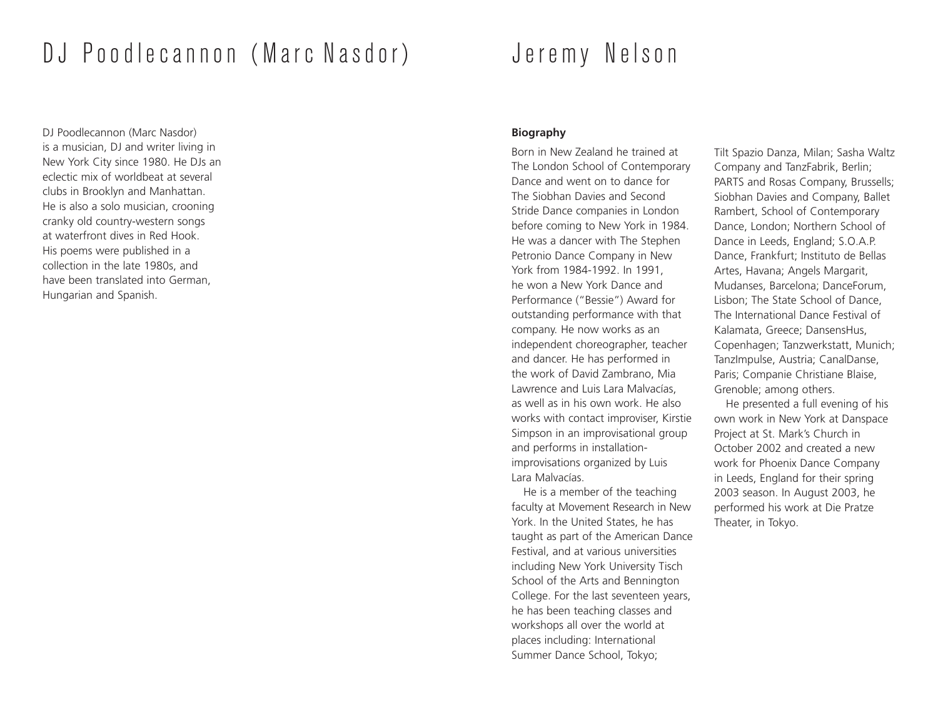# DJ Poodlecannon (Marc Nasdor)

DJ Poodlecannon (Marc Nasdor) is a musician, DJ and writer living in New York City since 1980. He DJs an eclectic mix of worldbeat at several clubs in Brooklyn and Manhattan. He is also a solo musician, crooning cranky old country-western songs at waterfront dives in Red Hook. His poems were published in a collection in the late 1980s, and have been translated into German, Hungarian and Spanish.

# Jeremy Nelson

### **Biography**

Born in New Zealand he trained at The London School of Contemporary Dance and went on to dance for The Siobhan Davies and Second Stride Dance companies in London before coming to New York in 1984. He was a dancer with The Stephen Petronio Dance Company in New York from 1984-1992. In 1991, he won a New York Dance and Performance ("Bessie") Award for outstanding performance with that company. He now works as an independent choreographer, teacher and dancer. He has performed in the work of David Zambrano, Mia Lawrence and Luis Lara Malvacías, as well as in his own work. He also works with contact improviser, Kirstie Simpson in an improvisational group and performs in installationimprovisations organized by Luis Lara Malvacías.

He is a member of the teaching faculty at Movement Research in New York. In the United States, he has taught as part of the American Dance Festival, and at various universities including New York University Tisch School of the Arts and Bennington College. For the last seventeen years, he has been teaching classes and workshops all over the world at places including: International Summer Dance School, Tokyo;

Tilt Spazio Danza, Milan; Sasha Waltz Company and TanzFabrik, Berlin; PARTS and Rosas Company, Brussells; Siobhan Davies and Company, Ballet Rambert, School of Contemporary Dance, London; Northern School of Dance in Leeds, England; S.O.A.P. Dance, Frankfurt; Instituto de Bellas Artes, Havana; Angels Margarit, Mudanses, Barcelona; DanceForum, Lisbon; The State School of Dance, The International Dance Festival of Kalamata, Greece; DansensHus, Copenhagen; Tanzwerkstatt, Munich; TanzImpulse, Austria; CanalDanse, Paris; Companie Christiane Blaise, Grenoble; among others.

He presented a full evening of his own work in New York at Danspace Project at St. Mark's Church in October 2002 and created a new work for Phoenix Dance Company in Leeds, England for their spring 2003 season. In August 2003, he performed his work at Die Pratze Theater, in Tokyo.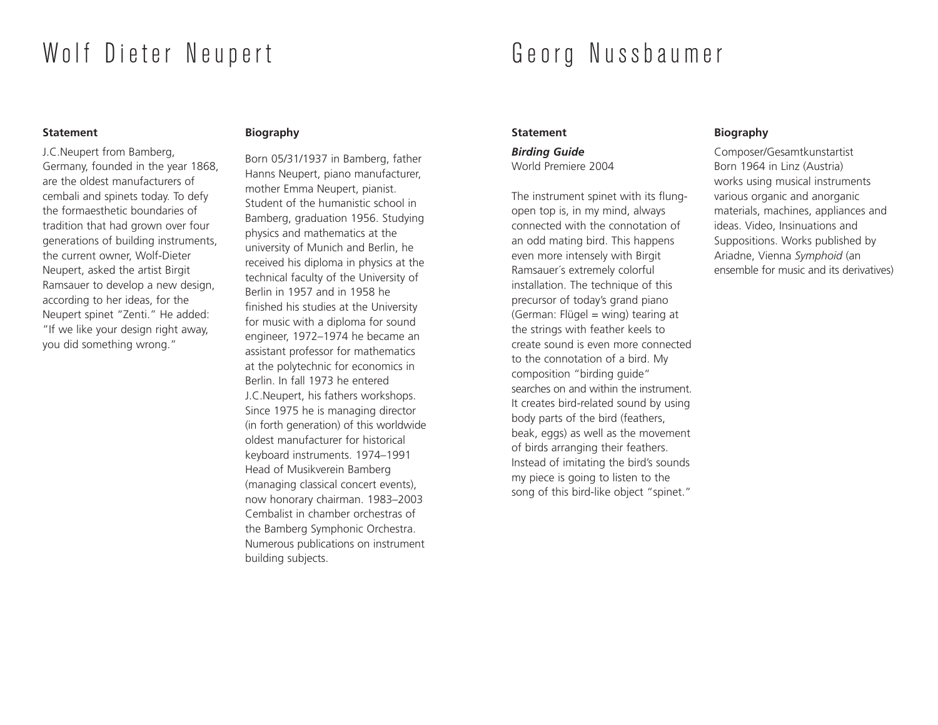# Wolf Dieter Neupert

### **Statement**

J.C.Neupert from Bamberg, Germany, founded in the year 1868, are the oldest manufacturers of cembali and spinets today. To defy the formaesthetic boundaries of tradition that had grown over four generations of building instruments, the current owner, Wolf-Dieter Neupert, asked the artist Birgit Ramsauer to develop a new design, according to her ideas, for the Neupert spinet "Zenti." He added: "If we like your design right away, you did something wrong."

# **Biography**

Born 05/31/1937 in Bamberg, father Hanns Neupert, piano manufacturer, mother Emma Neupert, pianist. Student of the humanistic school in Bamberg, graduation 1956. Studying physics and mathematics at the university of Munich and Berlin, he received his diploma in physics at the technical faculty of the University of Berlin in 1957 and in 1958 he finished his studies at the University for music with a diploma for sound engineer, 1972–1974 he became an assistant professor for mathematics at the polytechnic for economics in Berlin. In fall 1973 he entered J.C.Neupert, his fathers workshops. Since 1975 he is managing director (in forth generation) of this worldwide oldest manufacturer for historical keyboard instruments. 1974–1991 Head of Musikverein Bamberg (managing classical concert events), now honorary chairman. 1983–2003 Cembalist in chamber orchestras of the Bamberg Symphonic Orchestra. Numerous publications on instrument building subjects.

# Georg Nussbaumer

# **Statement**

*Birding Guide* World Premiere 2004

The instrument spinet with its flungopen top is, in my mind, always connected with the connotation of an odd mating bird. This happens even more intensely with Birgit Ramsauer´s extremely colorful installation. The technique of this precursor of today's grand piano (German: Flügel = wing) tearing at the strings with feather keels to create sound is even more connected to the connotation of a bird. My composition "birding guide" searches on and within the instrument. It creates bird-related sound by using body parts of the bird (feathers, beak, eggs) as well as the movement of birds arranging their feathers. Instead of imitating the bird's sounds my piece is going to listen to the song of this bird-like object "spinet."

# **Biography**

Composer/Gesamtkunstartist Born 1964 in Linz (Austria) works using musical instruments various organic and anorganic materials, machines, appliances and ideas. Video, Insinuations and Suppositions. Works published by Ariadne, Vienna *Symphoid* (an ensemble for music and its derivatives)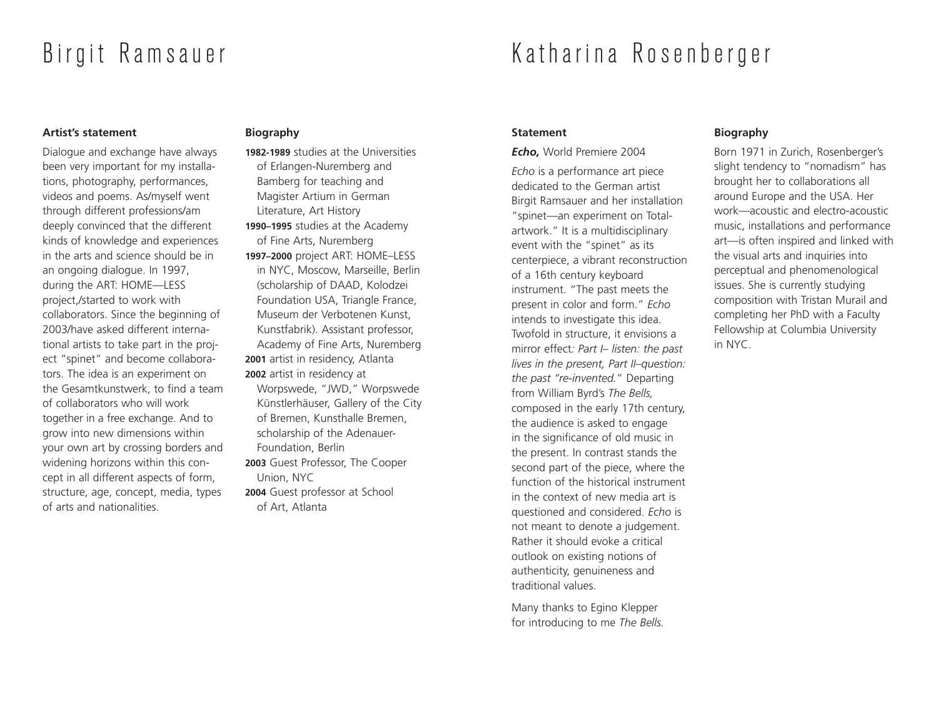# Birgit Ramsauer

# Katharina Rosenberger

# **Artist's statement**

Dialogue and exchange have always been very important for my installations, photography, performances, videos and poems. As/myself went through different professions/am deeply convinced that the different kinds of knowledge and experiences in the arts and science should be in an ongoing dialogue. In 1997, during the ART: HOME—LESS project,/started to work with collaborators. Since the beginning of 2003/have asked different international artists to take part in the project "spinet" and become collaborators. The idea is an experiment on the Gesamtkunstwerk, to find a team of collaborators who will work together in a free exchange. And to grow into new dimensions within your own art by crossing borders and widening horizons within this concept in all different aspects of form, structure, age, concept, media, types of arts and nationalities.

# **Biography**

- **1982-1989** studies at the Universities of Erlangen-Nuremberg and Bamberg for teaching and Magister Artium in German Literature, Art History **1990–1995** studies at the Academy of Fine Arts, Nuremberg **1997–2000** project ART: HOME–LESS in NYC, Moscow, Marseille, Berlin (scholarship of DAAD, Kolodzei Foundation USA, Triangle France, Museum der Verbotenen Kunst, Kunstfabrik). Assistant professor, Academy of Fine Arts, Nuremberg
- **2001** artist in residency, Atlanta **2002** artist in residency at Worpswede, "JWD," Worpswede Künstlerhäuser, Gallery of the City of Bremen, Kunsthalle Bremen,
- scholarship of the Adenauer-Foundation, Berlin
- **2003** Guest Professor, The Cooper Union, NYC
- **2004** Guest professor at School of Art, Atlanta

# **Statement**

*Echo,* World Premiere 2004

*Echo* is a performance art piece dedicated to the German artist Birgit Ramsauer and her installation "spinet—an experiment on Totalartwork." It is a multidisciplinary event with the "spinet" as its centerpiece, a vibrant reconstruction of a 16th century keyboard instrument. "The past meets the present in color and form." *Echo* intends to investigate this idea. Twofold in structure, it envisions a mirror effect*: Part I– listen: the past lives in the present, Part II–question: the past "re-invented.*" Departing from William Byrd's *The Bells,* composed in the early 17th century, the audience is asked to engage in the significance of old music in the present. In contrast stands the second part of the piece, where the function of the historical instrument in the context of new media art is questioned and considered. *Echo* is not meant to denote a judgement. Rather it should evoke a critical outlook on existing notions of authenticity, genuineness and traditional values.

Many thanks to Egino Klepper for introducing to me *The Bells.*

# **Biography**

Born 1971 in Zurich, Rosenberger's slight tendency to "nomadism" has brought her to collaborations all around Europe and the USA. Her work—acoustic and electro-acoustic music, installations and performance art—is often inspired and linked with the visual arts and inquiries into perceptual and phenomenological issues. She is currently studying composition with Tristan Murail and completing her PhD with a Faculty Fellowship at Columbia University in NYC.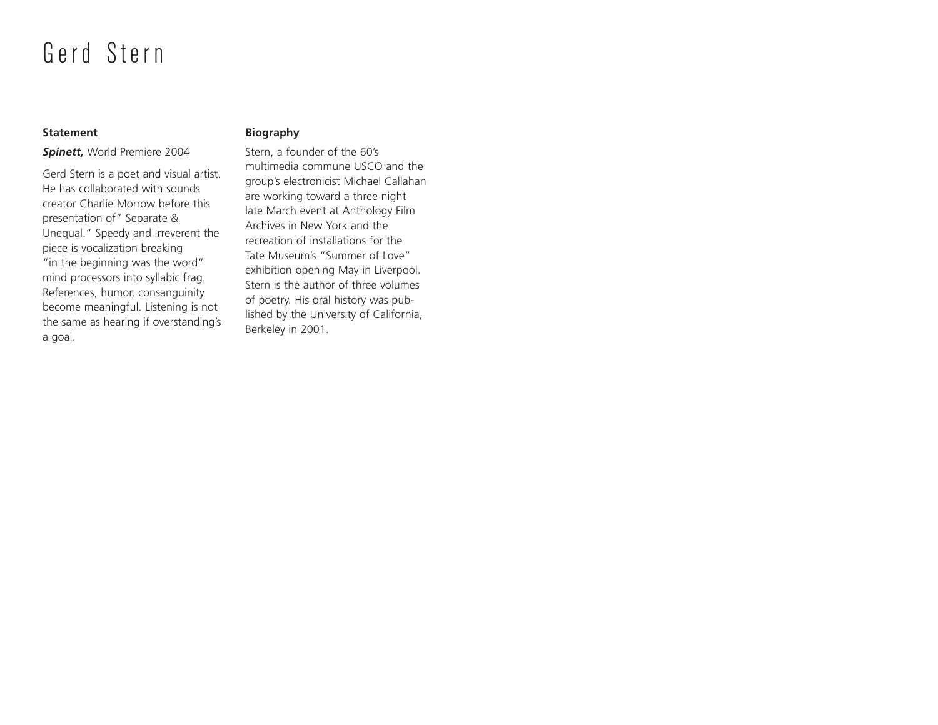# Gerd Stern

# **Statement**

# *Spinett,* World Premiere 2004

Gerd Stern is a poet and visual artist. He has collaborated with sounds creator Charlie Morrow before this presentation of" Separate & Unequal." Speedy and irreverent the piece is vocalization breaking "in the beginning was the word" mind processors into syllabic frag. References, humor, consanguinity become meaningful. Listening is not the same as hearing if overstanding's a goal.

# **Biography**

Stern, a founder of the 60's multimedia commune USCO and the group's electronicist Michael Callahan are working toward a three night late March event at Anthology Film Archives in New York and the recreation of installations for the Tate Museum's "Summer of Love" exhibition opening May in Liverpool. Stern is the author of three volumes of poetry. His oral history was published by the University of California, Berkeley in 2001.